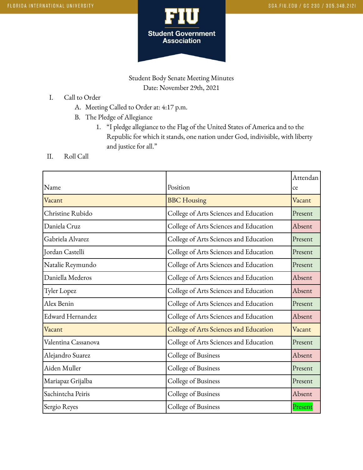

Student Body Senate Meeting Minutes Date: November 29th, 2021

- I. Call to Order
	- A. Meeting Called to Order at: 4:17 p.m.
	- B. The Pledge of Allegiance
		- 1. "I pledge allegiance to the Flag of the United States of America and to the Republic for which it stands, one nation under God, indivisible, with liberty and justice for all."
- II. Roll Call

|                         |                                        | Attendan |
|-------------------------|----------------------------------------|----------|
| Name                    | Position                               | ce       |
| Vacant                  | <b>BBC</b> Housing                     | Vacant   |
| Christine Rubido        | College of Arts Sciences and Education | Present  |
| Daniela Cruz            | College of Arts Sciences and Education | Absent   |
| Gabriela Alvarez        | College of Arts Sciences and Education | Present  |
| Jordan Castelli         | College of Arts Sciences and Education | Present  |
| Natalie Reymundo        | College of Arts Sciences and Education | Present  |
| Daniella Mederos        | College of Arts Sciences and Education | Absent   |
| Tyler Lopez             | College of Arts Sciences and Education | Absent   |
| Alex Benin              | College of Arts Sciences and Education | Present  |
| <b>Edward Hernandez</b> | College of Arts Sciences and Education | Absent   |
| Vacant                  | College of Arts Sciences and Education | Vacant   |
| Valentina Cassanova     | College of Arts Sciences and Education | Present  |
| Alejandro Suarez        | College of Business                    | Absent   |
| Aiden Muller            | College of Business                    | Present  |
| Mariapaz Grijalba       | College of Business                    | Present  |
| Sachintcha Peiris       | College of Business                    | Absent   |
| Sergio Reyes            | College of Business                    | Present  |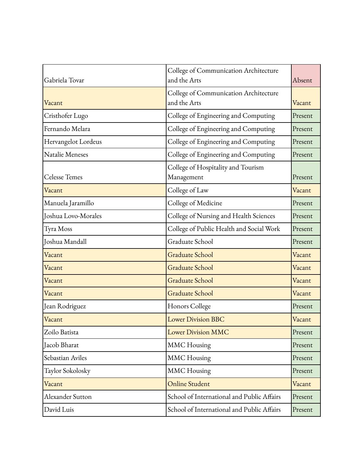| Gabriela Tovar       | College of Communication Architecture<br>and the Arts | Absent  |
|----------------------|-------------------------------------------------------|---------|
| Vacant               | College of Communication Architecture<br>and the Arts | Vacant  |
| Cristhofer Lugo      | College of Engineering and Computing                  | Present |
| Fernando Melara      | College of Engineering and Computing                  | Present |
| Hervangelot Lordeus  | College of Engineering and Computing                  | Present |
| Natalie Meneses      | College of Engineering and Computing                  | Present |
| <b>Celesse Temes</b> | College of Hospitality and Tourism<br>Management      | Present |
| Vacant               | College of Law                                        | Vacant  |
| Manuela Jaramillo    | College of Medicine                                   | Present |
| Joshua Lovo-Morales  | College of Nursing and Health Sciences                | Present |
| Tyra Moss            | College of Public Health and Social Work              | Present |
| Joshua Mandall       | Graduate School                                       | Present |
| Vacant               | <b>Graduate School</b>                                | Vacant  |
| Vacant               | <b>Graduate School</b>                                | Vacant  |
| Vacant               | <b>Graduate School</b>                                | Vacant  |
| Vacant               | Graduate School                                       | Vacant  |
| Jean Rodriguez       | Honors College                                        | Present |
| Vacant               | <b>Lower Division BBC</b>                             | Vacant  |
| Zoilo Batista        | <b>Lower Division MMC</b>                             | Present |
| Iacob Bharat         | <b>MMC</b> Housing                                    | Present |
| Sebastian Aviles     | <b>MMC</b> Housing                                    | Present |
| Taylor Sokolosky     | <b>MMC</b> Housing                                    | Present |
| Vacant               | <b>Online Student</b>                                 | Vacant  |
| Alexander Sutton     | School of International and Public Affairs            | Present |
| David Luis           | School of International and Public Affairs            | Present |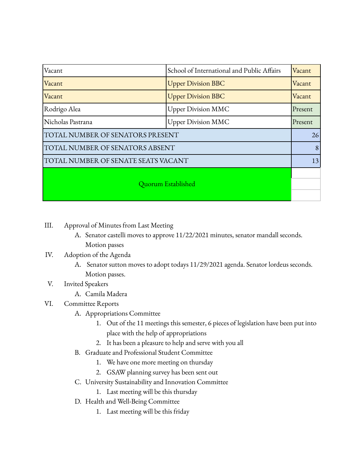| Vacant                              | School of International and Public Affairs | Vacant  |
|-------------------------------------|--------------------------------------------|---------|
| Vacant                              | <b>Upper Division BBC</b>                  | Vacant  |
| Vacant                              | <b>Upper Division BBC</b>                  | Vacant  |
| Rodrigo Alea                        | <b>Upper Division MMC</b>                  | Present |
| Nicholas Pastrana                   | <b>Upper Division MMC</b>                  | Present |
| TOTAL NUMBER OF SENATORS PRESENT    |                                            | 26      |
| TOTAL NUMBER OF SENATORS ABSENT     |                                            | 8       |
| TOTAL NUMBER OF SENATE SEATS VACANT |                                            | 13      |
| Quorum Established                  |                                            |         |

- III. Approval of Minutes from Last Meeting
	- A. Senator castelli moves to approve 11/22/2021 minutes, senator mandall seconds. Motion passes

## IV. Adoption of the Agenda

A. Senator sutton moves to adopt todays 11/29/2021 agenda. Senator lordeus seconds. Motion passes.

## V. Invited Speakers

A. Camila Madera

## VI. Committee Reports

- A. Appropriations Committee
	- 1. Out of the 11 meetings this semester, 6 pieces of legislation have been put into place with the help of appropriations
	- 2. It has been a pleasure to help and serve with you all
- B. Graduate and Professional Student Committee
	- 1. We have one more meeting on thursday
	- 2. GSAW planning survey has been sent out
- C. University Sustainability and Innovation Committee
	- 1. Last meeting will be this thursday
- D. Health and Well-Being Committee
	- 1. Last meeting will be this friday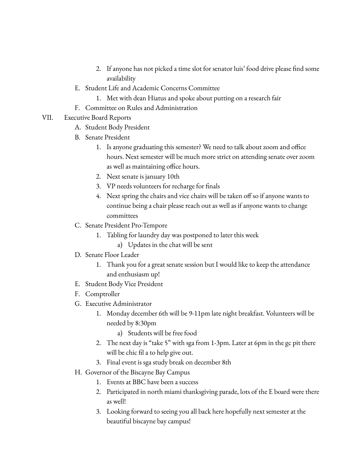- 2. If anyone has not picked a time slot for senator luis' food drive please find some availability
- E. Student Life and Academic Concerns Committee
	- 1. Met with dean Hiatus and spoke about putting on a research fair
- F. Committee on Rules and Administration
- VII. Executive Board Reports
	- A. Student Body President
	- B. Senate President
		- 1. Is anyone graduating this semester? We need to talk about zoom and office hours. Next semester will be much more strict on attending senate over zoom as well as maintaining office hours.
		- 2. Next senate is january 10th
		- 3. VP needs volunteers for recharge for finals
		- 4. Next spring the chairs and vice chairs will be taken off so if anyone wants to continue being a chair please reach out as well as if anyone wants to change committees
	- C. Senate President Pro-Tempore
		- 1. Tabling for laundry day was postponed to later this week
			- a) Updates in the chat will be sent
	- D. Senate Floor Leader
		- 1. Thank you for a great senate session but I would like to keep the attendance and enthusiasm up!
	- E. Student Body Vice President
	- F. Comptroller
	- G. Executive Administrator
		- 1. Monday december 6th will be 9-11pm late night breakfast. Volunteers will be needed by 8:30pm
			- a) Students will be free food
		- 2. The next day is "take 5" with sga from 1-3pm. Later at 6pm in the gc pit there will be chic fil a to help give out.
		- 3. Final event is sga study break on december 8th
	- H. Governor of the Biscayne Bay Campus
		- 1. Events at BBC have been a success
		- 2. Participated in north miami thanksgiving parade, lots of the E board were there as well!
		- 3. Looking forward to seeing you all back here hopefully next semester at the beautiful biscayne bay campus!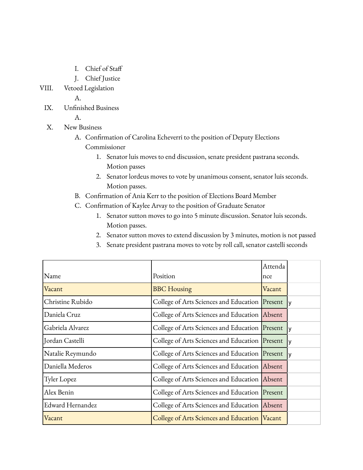- I. Chief of Staff
- J. Chief Justice
- VIII. Vetoed Legislation

A.

IX. Unfinished Business

A.

- X. New Business
	- A. Confirmation of Carolina Echeverri to the position of Deputy Elections Commissioner
		- 1. Senator luis moves to end discussion, senate president pastrana seconds. Motion passes
		- 2. Senator lordeus moves to vote by unanimous consent, senator luis seconds. Motion passes.
	- B. Confirmation of Ania Kerr to the position of Elections Board Member
	- C. Confirmation of Kaylee Arvay to the position of Graduate Senator
		- 1. Senator sutton moves to go into 5 minute discussion. Senator luis seconds. Motion passes.
		- 2. Senator sutton moves to extend discussion by 3 minutes, motion is not passed
		- 3. Senate president pastrana moves to vote by roll call, senator castelli seconds

|                  |                                                 | Attenda |  |
|------------------|-------------------------------------------------|---------|--|
| Name             | Position                                        | nce     |  |
| Vacant           | <b>BBC</b> Housing                              | Vacant  |  |
| Christine Rubido | College of Arts Sciences and Education Present  |         |  |
| Daniela Cruz     | College of Arts Sciences and Education Absent   |         |  |
| Gabriela Alvarez | College of Arts Sciences and Education Present  |         |  |
| Jordan Castelli  | College of Arts Sciences and Education Present  |         |  |
| Natalie Reymundo | College of Arts Sciences and Education Present  |         |  |
| Daniella Mederos | College of Arts Sciences and Education Absent   |         |  |
| Tyler Lopez      | College of Arts Sciences and Education Absent   |         |  |
| Alex Benin       | College of Arts Sciences and Education Present  |         |  |
| Edward Hernandez | College of Arts Sciences and Education Absent   |         |  |
| Vacant           | College of Arts Sciences and Education   Vacant |         |  |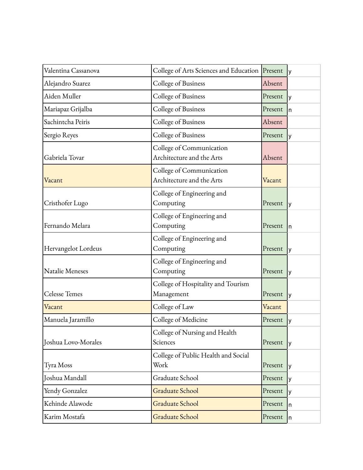| Valentina Cassanova    | College of Arts Sciences and Education Present        |         | I٧             |
|------------------------|-------------------------------------------------------|---------|----------------|
| Alejandro Suarez       | College of Business                                   | Absent  |                |
| Aiden Muller           | College of Business                                   | Present | l y            |
| Mariapaz Grijalba      | College of Business                                   | Present | In.            |
| Sachintcha Peiris      | College of Business                                   | Absent  |                |
| Sergio Reyes           | College of Business                                   | Present | $\overline{y}$ |
| Gabriela Tovar         | College of Communication<br>Architecture and the Arts | Absent  |                |
| Vacant                 | College of Communication<br>Architecture and the Arts | Vacant  |                |
| Cristhofer Lugo        | College of Engineering and<br>Computing               | Present | lу             |
| Fernando Melara        | College of Engineering and<br>Computing               | Present | In             |
| Hervangelot Lordeus    | College of Engineering and<br>Computing               | Present | lу             |
| <b>Natalie Meneses</b> | College of Engineering and<br>Computing               | Present | lу             |
| <b>Celesse Temes</b>   | College of Hospitality and Tourism<br>Management      | Present | lУ             |
| Vacant                 | College of Law                                        | Vacant  |                |
| Manuela Jaramillo      | College of Medicine                                   | Present | $\mathsf{y}$   |
| Joshua Lovo-Morales    | College of Nursing and Health<br>Sciences             | Present | l y            |
| Tyra Moss              | College of Public Health and Social<br>Work           | Present | l y            |
| Joshua Mandall         | Graduate School                                       | Present | l y            |
| Yendy Gonzalez         | Graduate School                                       | Present | l y            |
| Kehinde Alawode        | Graduate School                                       | Present | In.            |
| Karim Mostafa          | Graduate School                                       | Present | In.            |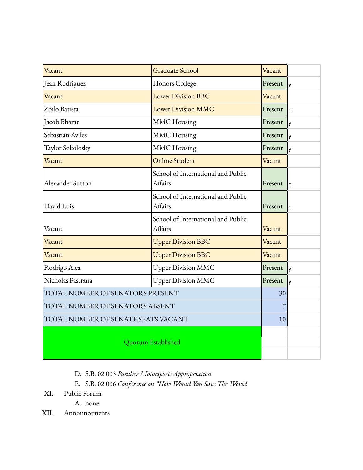| Vacant                              | <b>Graduate School</b>                        | Vacant  |     |
|-------------------------------------|-----------------------------------------------|---------|-----|
| Jean Rodriguez                      | Honors College                                | Present | I٧  |
| Vacant                              | <b>Lower Division BBC</b>                     | Vacant  |     |
| Zoilo Batista                       | <b>Lower Division MMC</b>                     | Present | ln. |
| Jacob Bharat                        | <b>MMC</b> Housing                            | Present | I٧  |
| Sebastian Aviles                    | <b>MMC</b> Housing                            | Present | I٧  |
| Taylor Sokolosky                    | <b>MMC</b> Housing                            | Present | y   |
| Vacant                              | <b>Online Student</b>                         | Vacant  |     |
| Alexander Sutton                    | School of International and Public<br>Affairs | Present | In  |
| David Luis                          | School of International and Public<br>Affairs | Present | In  |
| Vacant                              | School of International and Public<br>Affairs | Vacant  |     |
| Vacant                              | <b>Upper Division BBC</b>                     | Vacant  |     |
| Vacant                              | <b>Upper Division BBC</b>                     | Vacant  |     |
| Rodrigo Alea                        | <b>Upper Division MMC</b>                     | Present | I٧  |
| Nicholas Pastrana                   | <b>Upper Division MMC</b>                     | Present | I٧  |
| TOTAL NUMBER OF SENATORS PRESENT    |                                               | 30      |     |
| TOTAL NUMBER OF SENATORS ABSENT     |                                               |         |     |
| TOTAL NUMBER OF SENATE SEATS VACANT |                                               | 10      |     |
| Quorum Established                  |                                               |         |     |
|                                     |                                               |         |     |
|                                     |                                               |         |     |

- D. S.B. 02 003 *Panther Motorsports Appropriation*
- E. S.B. 02 006 *Conference on "How Would You Save The World*
- XI. Public Forum
	- A. none
- XII. Announcements